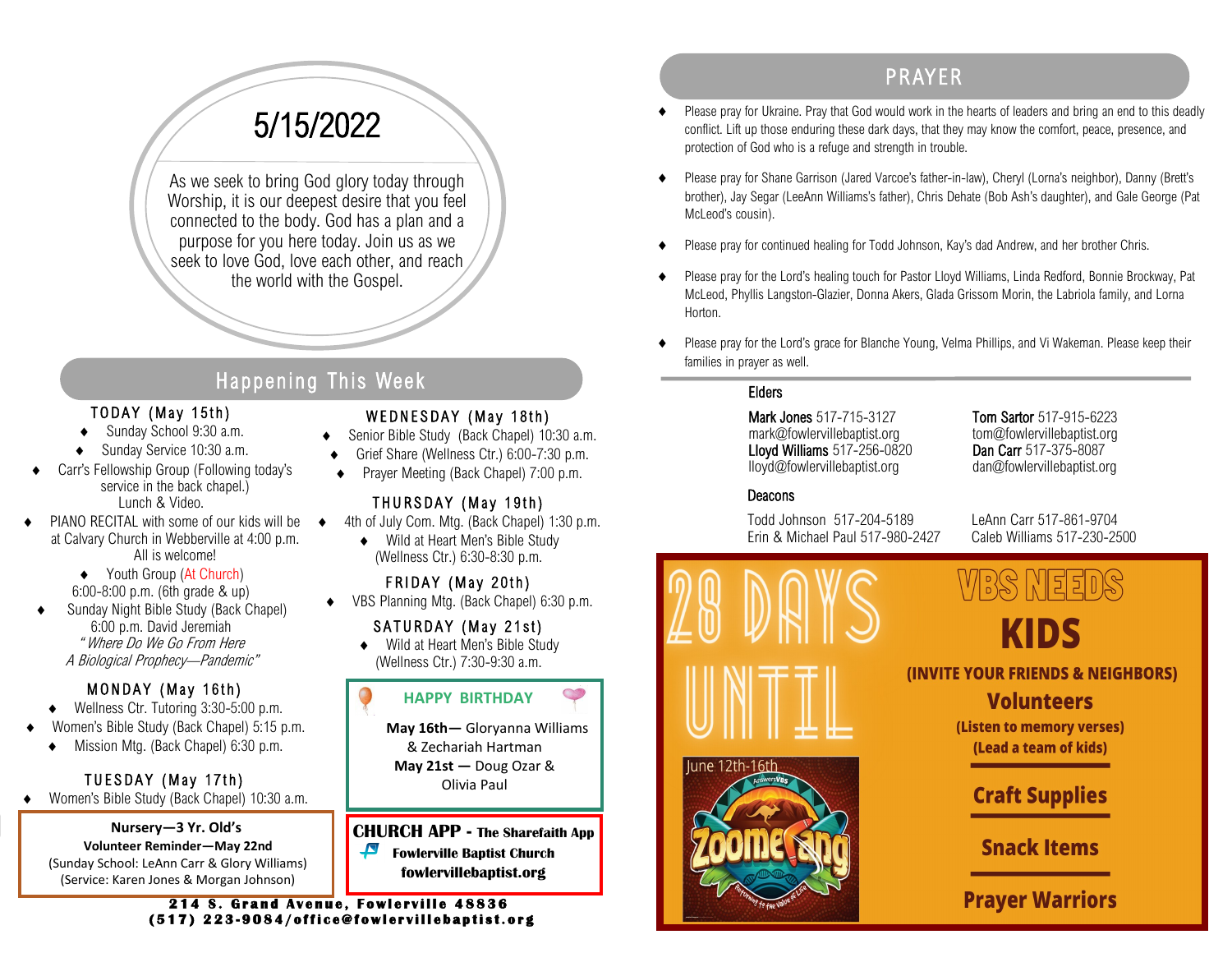# 5/15/2022

As we seek to bring God glory today through Worship, it is our deepest desire that you feel connected to the body. God has a plan and a purpose for you here today. Join us as we seek to love God, love each other, and reach the world with the Gospel.

## Happening This Week

#### TODAY (May 15th)

- Sunday School 9:30 a.m.
- Sunday Service 10:30 a.m.
- Carr's Fellowship Group (Following today's service in the back chapel.) Lunch & Video.
- PIANO RECITAL with some of our kids will be at Calvary Church in Webberville at 4:00 p.m. All is welcome!
	- ◆ Youth Group (At Church) 6:00-8:00 p.m. (6th grade & up)
- Sunday Night Bible Study (Back Chapel) 6:00 p.m. David Jeremiah " Where Do We Go From Here A Biological Prophecy—Pandemic"

#### MONDAY (May 16th)

- ◆ Wellness Ctr. Tutoring 3:30-5:00 p.m.
- Women's Bible Study (Back Chapel) 5:15 p.m.
	- ◆ Mission Mtg. (Back Chapel) 6:30 p.m.

#### TUESDAY (May 17th)

Women's Bible Study (Back Chapel) 10:30 a.m.

#### **Nursery—3 Yr. Old's**

**Volunteer Reminder—May 22nd** (Sunday School: LeAnn Carr & Glory Williams) (Service: Karen Jones & Morgan Johnson)

#### WEDNESDAY (May 18th)

- Senior Bible Study (Back Chapel) 10:30 a.m.
- Grief Share (Wellness Ctr.) 6:00-7:30 p.m.
- Prayer Meeting (Back Chapel) 7:00 p.m.

#### THURSDAY (May 19th)

- 4th of July Com. Mtg. (Back Chapel) 1:30 p.m.
	- ◆ Wild at Heart Men's Bible Study (Wellness Ctr.) 6:30-8:30 p.m.

#### FRIDAY (May 20th)

VBS Planning Mtg. (Back Chapel) 6:30 p.m.

#### SATURDAY (May 21st)

◆ Wild at Heart Men's Bible Study (Wellness Ctr.) 7:30-9:30 a.m.

#### **HAPPY BIRTHDAY**

**May 16th—** Gloryanna Williams & Zechariah Hartman **May 21st —** Doug Ozar & Olivia Paul

**CHURCH APP - The Sharefaith App**   $\sqrt{\phantom{0}}$ **Fowlerville Baptist Church fowlervillebaptist.org**

# PR AYER

- Please pray for Ukraine. Pray that God would work in the hearts of leaders and bring an end to this deadly conflict. Lift up those enduring these dark days, that they may know the comfort, peace, presence, and protection of God who is a refuge and strength in trouble.
- Please pray for Shane Garrison (Jared Varcoe's father-in-law), Cheryl (Lorna's neighbor), Danny (Brett's brother), Jay Segar (LeeAnn Williams's father), Chris Dehate (Bob Ash's daughter), and Gale George (Pat McLeod's cousin).
- Please pray for continued healing for Todd Johnson, Kay's dad Andrew, and her brother Chris.
- Please pray for the Lord's healing touch for Pastor Lloyd Williams, Linda Redford, Bonnie Brockway, Pat McLeod, Phyllis Langston-Glazier, Donna Akers, Glada Grissom Morin, the Labriola family, and Lorna Horton.
- Please pray for the Lord's grace for Blanche Young, Velma Phillips, and Vi Wakeman. Please keep their families in prayer as well.

#### Elders

Mark Jones 517-715-3127 Tom Sartor 517-915-6223 mark@fowlervillebaptist.org tom@fowlervillebaptist.org Lloyd Williams 517-256-0820 Dan Carr 517-375-8087 lloyd@fowlervillebaptist.org dan@fowlervillebaptist.org

#### **Deacons**

Todd Johnson 517-204-5189 LeAnn Carr 517-861-9704 Erin & Michael Paul 517-980-2427 Caleb Williams 517-230-2500



**(INVITE YOUR FRIENDS & NEIGHBORS)** 

#### **Volunteers**

(Listen to memory verses) (Lead a team of kids)

# **Craft Supplies**

**Snack Items** 

### **Prayer Warriors**

**214 S. Grand Avenue, Fowlerville 48836 ( 5 1 7 ) 2 2 3 - 9 0 8 4 / o f f i c e @ f o w l e r v i l l e b a p t i s t . o r g**